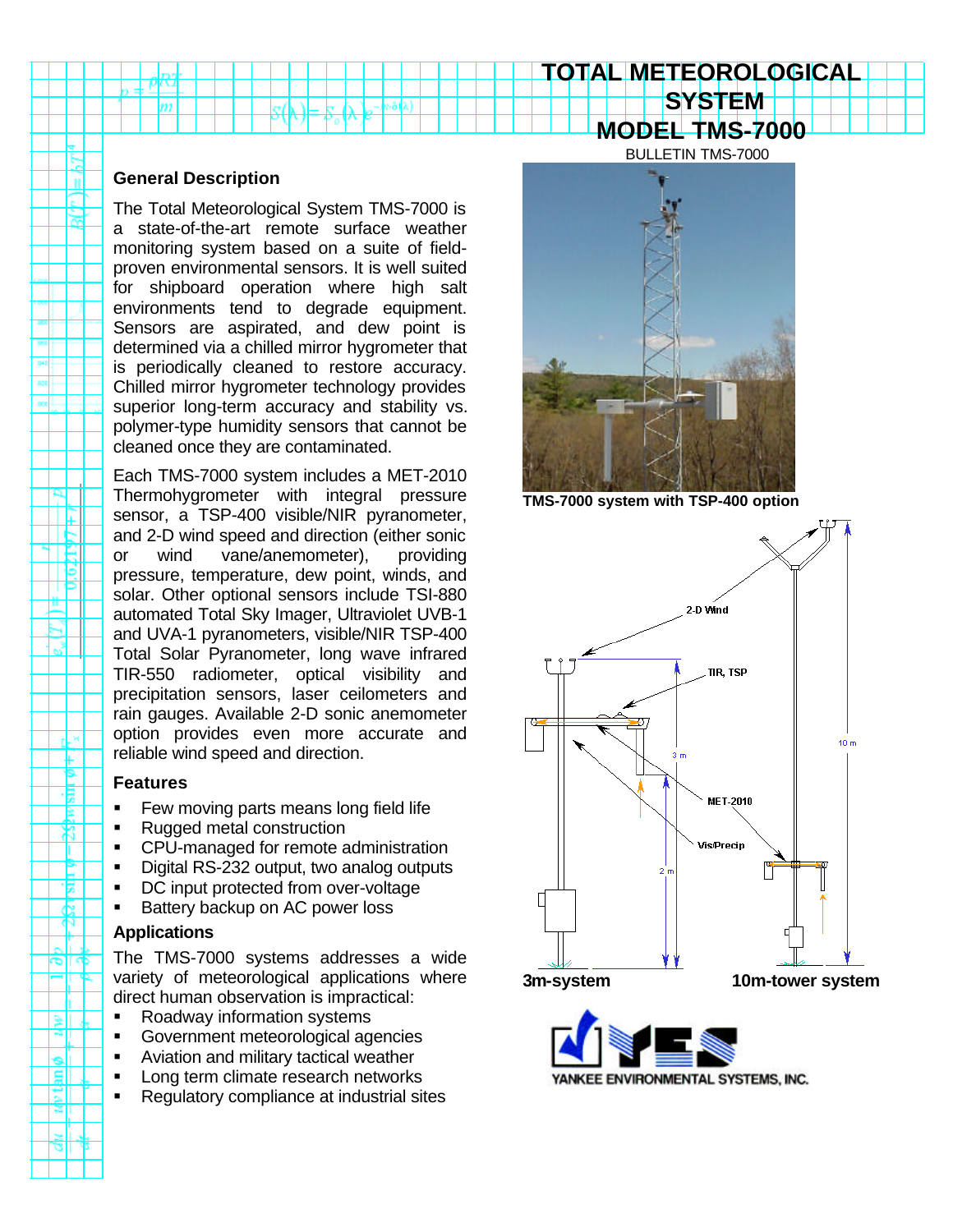# **SYSTEM MODEL TMS-7000**

BULLETIN TMS-7000

**TOTAL METEOROLOGICAL**

# **General Description**

n

ш

⊬

ж

ш Ľ Ŧ. đα.

ு⊪

<u>all</u>

The Total Meteorological System TMS-7000 is a state-of-the-art remote surface weather monitoring system based on a suite of fieldproven environmental sensors. It is well suited for shipboard operation where high salt environments tend to degrade equipment. Sensors are aspirated, and dew point is determined via a chilled mirror hygrometer that is periodically cleaned to restore accuracy. Chilled mirror hygrometer technology provides superior long-term accuracy and stability vs. polymer-type humidity sensors that cannot be cleaned once they are contaminated.

Each TMS-7000 system includes a MET-2010 Thermohygrometer with integral pressure sensor, a TSP-400 visible/NIR pyranometer, and 2-D wind speed and direction (either sonic or wind vane/anemometer), providing pressure, temperature, dew point, winds, and solar. Other optional sensors include TSI-880 automated Total Sky Imager, Ultraviolet UVB-1 and UVA-1 pyranometers, visible/NIR TSP-400 Total Solar Pyranometer, long wave infrared TIR-550 radiometer, optical visibility and precipitation sensors, laser ceilometers and rain gauges. Available 2-D sonic anemometer option provides even more accurate and reliable wind speed and direction.

## **Features**

- **Few moving parts means long field life**
- Rugged metal construction
- CPU-managed for remote administration
- **•** Digital RS-232 output, two analog outputs
- DC input protected from over-voltage
- ß Battery backup on AC power loss

## **Applications**

The TMS-7000 systems addresses a wide variety of meteorological applications where direct human observation is impractical:

- ß Roadway information systems
- **Government meteorological agencies**
- Aviation and military tactical weather
- Long term climate research networks
- ß Regulatory compliance at industrial sites



**TMS-7000 system with TSP-400 option**





YANKEE ENVIRONMENTAL SYSTEMS, INC.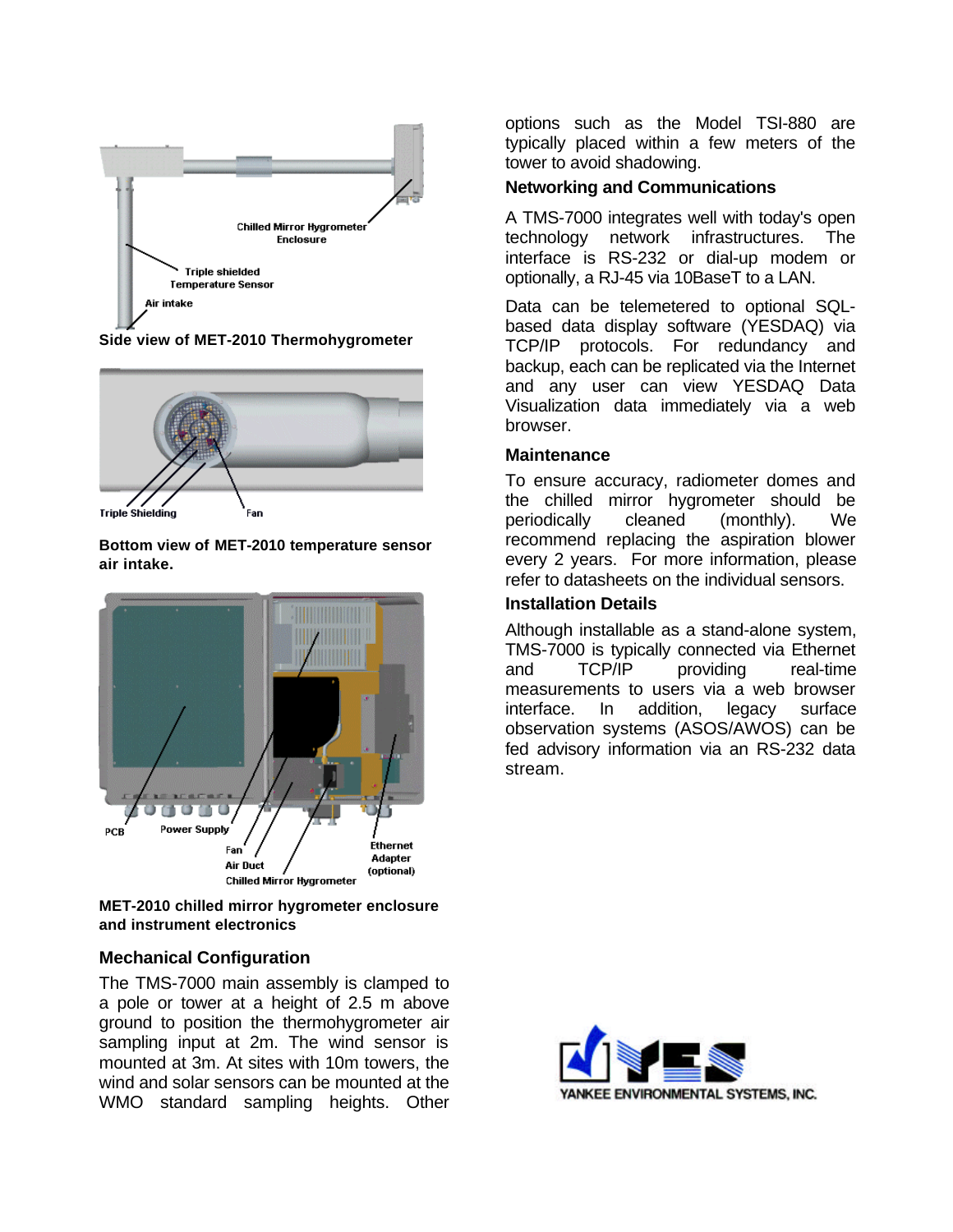

**Side view of MET-2010 Thermohygrometer**



**Bottom view of MET-2010 temperature sensor air intake.**



**MET-2010 chilled mirror hygrometer enclosure and instrument electronics**

# **Mechanical Configuration**

The TMS-7000 main assembly is clamped to a pole or tower at a height of 2.5 m above ground to position the thermohygrometer air sampling input at 2m. The wind sensor is mounted at 3m. At sites with 10m towers, the wind and solar sensors can be mounted at the WMO standard sampling heights. Other

options such as the Model TSI-880 are typically placed within a few meters of the tower to avoid shadowing.

# **Networking and Communications**

A TMS-7000 integrates well with today's open technology network infrastructures. The interface is RS-232 or dial-up modem or optionally, a RJ-45 via 10BaseT to a LAN.

Data can be telemetered to optional SQLbased data display software (YESDAQ) via TCP/IP protocols. For redundancy and backup, each can be replicated via the Internet and any user can view YESDAQ Data Visualization data immediately via a web browser.

## **Maintenance**

To ensure accuracy, radiometer domes and the chilled mirror hygrometer should be periodically cleaned (monthly). We recommend replacing the aspiration blower every 2 years. For more information, please refer to datasheets on the individual sensors.

# **Installation Details**

Although installable as a stand-alone system, TMS-7000 is typically connected via Ethernet and TCP/IP providing real-time measurements to users via a web browser interface. In addition, legacy surface observation systems (ASOS/AWOS) can be fed advisory information via an RS-232 data stream.